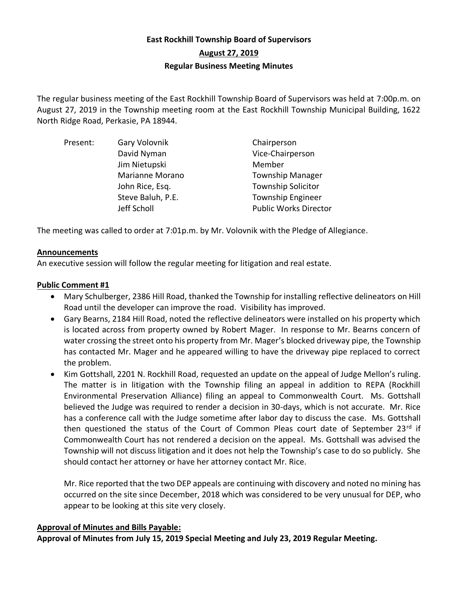# **East Rockhill Township Board of Supervisors August 27, 2019 Regular Business Meeting Minutes**

The regular business meeting of the East Rockhill Township Board of Supervisors was held at 7:00p.m. on August 27, 2019 in the Township meeting room at the East Rockhill Township Municipal Building, 1622 North Ridge Road, Perkasie, PA 18944.

| Present: | Gary Volovnik     | Chairperson                  |
|----------|-------------------|------------------------------|
|          | David Nyman       | Vice-Chairperson             |
|          | Jim Nietupski     | Member                       |
|          | Marianne Morano   | <b>Township Manager</b>      |
|          | John Rice, Esq.   | <b>Township Solicitor</b>    |
|          | Steve Baluh, P.E. | <b>Township Engineer</b>     |
|          | Jeff Scholl       | <b>Public Works Director</b> |

The meeting was called to order at 7:01p.m. by Mr. Volovnik with the Pledge of Allegiance.

#### **Announcements**

An executive session will follow the regular meeting for litigation and real estate.

## **Public Comment #1**

- Mary Schulberger, 2386 Hill Road, thanked the Township for installing reflective delineators on Hill Road until the developer can improve the road. Visibility has improved.
- Gary Bearns, 2184 Hill Road, noted the reflective delineators were installed on his property which is located across from property owned by Robert Mager. In response to Mr. Bearns concern of water crossing the street onto his property from Mr. Mager's blocked driveway pipe, the Township has contacted Mr. Mager and he appeared willing to have the driveway pipe replaced to correct the problem.
- Kim Gottshall, 2201 N. Rockhill Road, requested an update on the appeal of Judge Mellon's ruling. The matter is in litigation with the Township filing an appeal in addition to REPA (Rockhill Environmental Preservation Alliance) filing an appeal to Commonwealth Court. Ms. Gottshall believed the Judge was required to render a decision in 30-days, which is not accurate. Mr. Rice has a conference call with the Judge sometime after labor day to discuss the case. Ms. Gottshall then questioned the status of the Court of Common Pleas court date of September 23rd if Commonwealth Court has not rendered a decision on the appeal. Ms. Gottshall was advised the Township will not discuss litigation and it does not help the Township's case to do so publicly. She should contact her attorney or have her attorney contact Mr. Rice.

Mr. Rice reported that the two DEP appeals are continuing with discovery and noted no mining has occurred on the site since December, 2018 which was considered to be very unusual for DEP, who appear to be looking at this site very closely.

#### **Approval of Minutes and Bills Payable:**

**Approval of Minutes from July 15, 2019 Special Meeting and July 23, 2019 Regular Meeting.**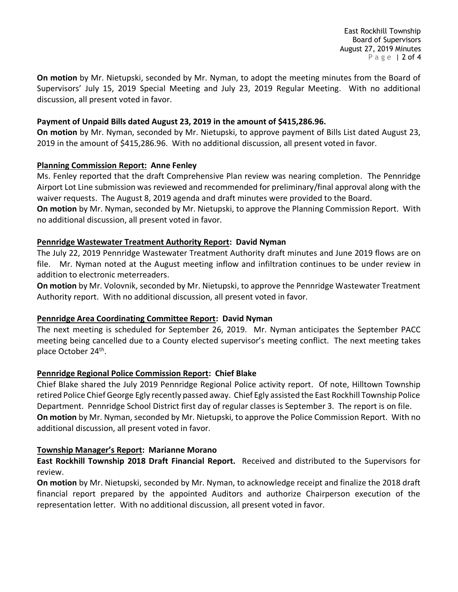East Rockhill Township Board of Supervisors August 27, 2019 Minutes P a g e | 2 of 4

**On motion** by Mr. Nietupski, seconded by Mr. Nyman, to adopt the meeting minutes from the Board of Supervisors' July 15, 2019 Special Meeting and July 23, 2019 Regular Meeting. With no additional discussion, all present voted in favor.

## **Payment of Unpaid Bills dated August 23, 2019 in the amount of \$415,286.96.**

**On motion** by Mr. Nyman, seconded by Mr. Nietupski, to approve payment of Bills List dated August 23, 2019 in the amount of \$415,286.96. With no additional discussion, all present voted in favor.

## **Planning Commission Report: Anne Fenley**

Ms. Fenley reported that the draft Comprehensive Plan review was nearing completion. The Pennridge Airport Lot Line submission was reviewed and recommended for preliminary/final approval along with the waiver requests. The August 8, 2019 agenda and draft minutes were provided to the Board.

**On motion** by Mr. Nyman, seconded by Mr. Nietupski, to approve the Planning Commission Report. With no additional discussion, all present voted in favor.

## **Pennridge Wastewater Treatment Authority Report: David Nyman**

The July 22, 2019 Pennridge Wastewater Treatment Authority draft minutes and June 2019 flows are on file. Mr. Nyman noted at the August meeting inflow and infiltration continues to be under review in addition to electronic meterreaders.

**On motion** by Mr. Volovnik, seconded by Mr. Nietupski, to approve the Pennridge Wastewater Treatment Authority report. With no additional discussion, all present voted in favor.

# **Pennridge Area Coordinating Committee Report: David Nyman**

The next meeting is scheduled for September 26, 2019. Mr. Nyman anticipates the September PACC meeting being cancelled due to a County elected supervisor's meeting conflict. The next meeting takes place October 24<sup>th</sup>.

# **Pennridge Regional Police Commission Report: Chief Blake**

Chief Blake shared the July 2019 Pennridge Regional Police activity report. Of note, Hilltown Township retired Police Chief George Egly recently passed away. Chief Egly assisted the East Rockhill Township Police Department. Pennridge School District first day of regular classes is September 3. The report is on file. **On motion** by Mr. Nyman, seconded by Mr. Nietupski, to approve the Police Commission Report. With no additional discussion, all present voted in favor.

# **Township Manager's Report: Marianne Morano**

**East Rockhill Township 2018 Draft Financial Report.** Received and distributed to the Supervisors for review.

**On motion** by Mr. Nietupski, seconded by Mr. Nyman, to acknowledge receipt and finalize the 2018 draft financial report prepared by the appointed Auditors and authorize Chairperson execution of the representation letter. With no additional discussion, all present voted in favor.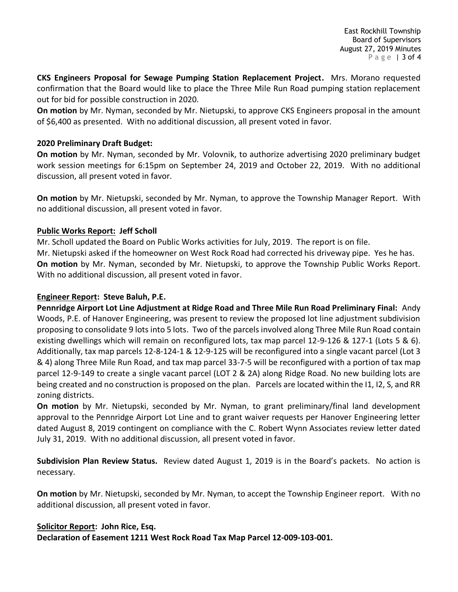East Rockhill Township Board of Supervisors August 27, 2019 Minutes P a g e | 3 of 4

**CKS Engineers Proposal for Sewage Pumping Station Replacement Project.** Mrs. Morano requested confirmation that the Board would like to place the Three Mile Run Road pumping station replacement out for bid for possible construction in 2020.

**On motion** by Mr. Nyman, seconded by Mr. Nietupski, to approve CKS Engineers proposal in the amount of \$6,400 as presented. With no additional discussion, all present voted in favor.

## **2020 Preliminary Draft Budget:**

**On motion** by Mr. Nyman, seconded by Mr. Volovnik, to authorize advertising 2020 preliminary budget work session meetings for 6:15pm on September 24, 2019 and October 22, 2019. With no additional discussion, all present voted in favor.

**On motion** by Mr. Nietupski, seconded by Mr. Nyman, to approve the Township Manager Report. With no additional discussion, all present voted in favor.

## **Public Works Report: Jeff Scholl**

Mr. Scholl updated the Board on Public Works activities for July, 2019. The report is on file. Mr. Nietupski asked if the homeowner on West Rock Road had corrected his driveway pipe. Yes he has. **On motion** by Mr. Nyman, seconded by Mr. Nietupski, to approve the Township Public Works Report. With no additional discussion, all present voted in favor.

#### **Engineer Report: Steve Baluh, P.E.**

**Pennridge Airport Lot Line Adjustment at Ridge Road and Three Mile Run Road Preliminary Final:** Andy Woods, P.E. of Hanover Engineering, was present to review the proposed lot line adjustment subdivision proposing to consolidate 9 lots into 5 lots. Two of the parcels involved along Three Mile Run Road contain existing dwellings which will remain on reconfigured lots, tax map parcel 12-9-126 & 127-1 (Lots 5 & 6). Additionally, tax map parcels 12-8-124-1 & 12-9-125 will be reconfigured into a single vacant parcel (Lot 3 & 4) along Three Mile Run Road, and tax map parcel 33-7-5 will be reconfigured with a portion of tax map parcel 12-9-149 to create a single vacant parcel (LOT 2 & 2A) along Ridge Road. No new building lots are being created and no construction is proposed on the plan. Parcels are located within the I1, I2, S, and RR zoning districts.

**On motion** by Mr. Nietupski, seconded by Mr. Nyman, to grant preliminary/final land development approval to the Pennridge Airport Lot Line and to grant waiver requests per Hanover Engineering letter dated August 8, 2019 contingent on compliance with the C. Robert Wynn Associates review letter dated July 31, 2019. With no additional discussion, all present voted in favor.

**Subdivision Plan Review Status.** Review dated August 1, 2019 is in the Board's packets. No action is necessary.

**On motion** by Mr. Nietupski, seconded by Mr. Nyman, to accept the Township Engineer report. With no additional discussion, all present voted in favor.

# **Solicitor Report: John Rice, Esq.**

**Declaration of Easement 1211 West Rock Road Tax Map Parcel 12-009-103-001.**